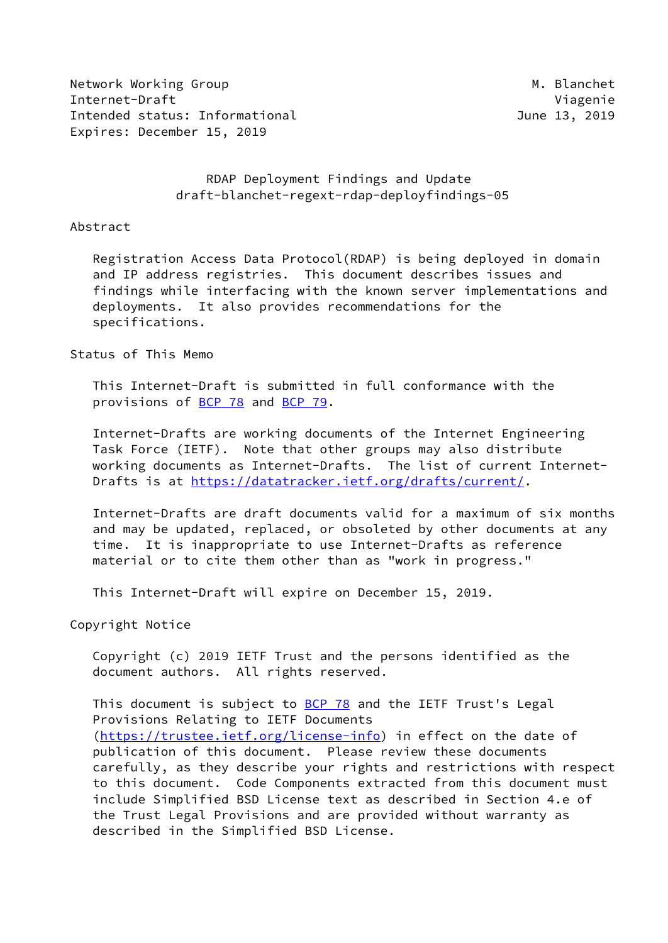Network Working Group Metwork Working Group Metwork Metwork Metal Internet-Draft Viagenie Intended status: Informational and all the control of the 13, 2019 Expires: December 15, 2019

# RDAP Deployment Findings and Update draft-blanchet-regext-rdap-deployfindings-05

#### Abstract

 Registration Access Data Protocol(RDAP) is being deployed in domain and IP address registries. This document describes issues and findings while interfacing with the known server implementations and deployments. It also provides recommendations for the specifications.

### Status of This Memo

 This Internet-Draft is submitted in full conformance with the provisions of [BCP 78](https://datatracker.ietf.org/doc/pdf/bcp78) and [BCP 79](https://datatracker.ietf.org/doc/pdf/bcp79).

 Internet-Drafts are working documents of the Internet Engineering Task Force (IETF). Note that other groups may also distribute working documents as Internet-Drafts. The list of current Internet- Drafts is at<https://datatracker.ietf.org/drafts/current/>.

 Internet-Drafts are draft documents valid for a maximum of six months and may be updated, replaced, or obsoleted by other documents at any time. It is inappropriate to use Internet-Drafts as reference material or to cite them other than as "work in progress."

This Internet-Draft will expire on December 15, 2019.

Copyright Notice

 Copyright (c) 2019 IETF Trust and the persons identified as the document authors. All rights reserved.

This document is subject to **[BCP 78](https://datatracker.ietf.org/doc/pdf/bcp78)** and the IETF Trust's Legal Provisions Relating to IETF Documents [\(https://trustee.ietf.org/license-info](https://trustee.ietf.org/license-info)) in effect on the date of publication of this document. Please review these documents carefully, as they describe your rights and restrictions with respect to this document. Code Components extracted from this document must include Simplified BSD License text as described in Section 4.e of the Trust Legal Provisions and are provided without warranty as described in the Simplified BSD License.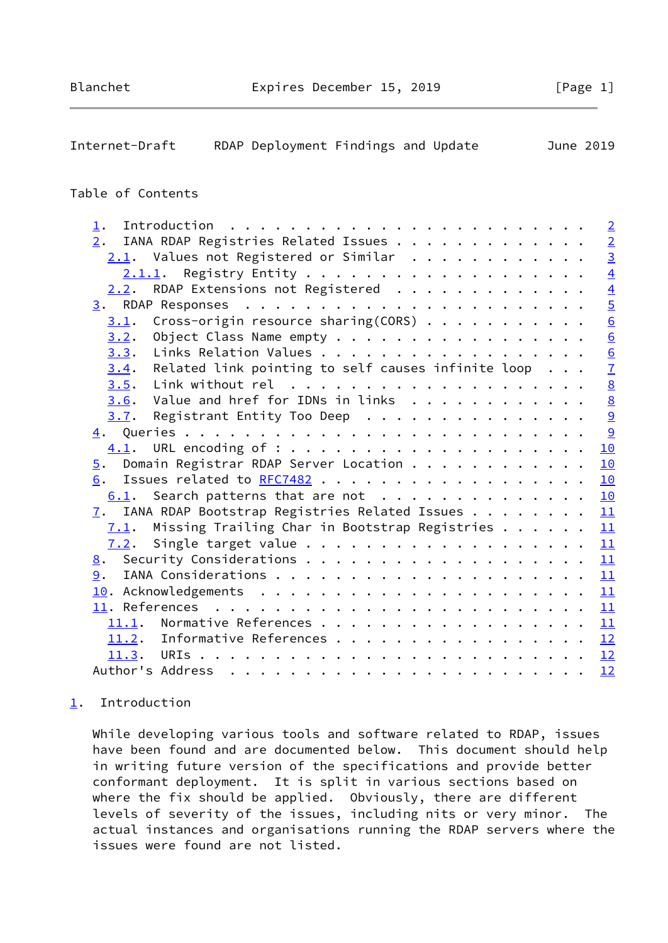<span id="page-1-1"></span>

| Internet-Draft<br>RDAP Deployment Findings and Update                                                                                                                                                                                           | June 2019       |
|-------------------------------------------------------------------------------------------------------------------------------------------------------------------------------------------------------------------------------------------------|-----------------|
| Table of Contents                                                                                                                                                                                                                               |                 |
|                                                                                                                                                                                                                                                 |                 |
| $\mathbf{1}$ .                                                                                                                                                                                                                                  | $\overline{2}$  |
| IANA RDAP Registries Related Issues<br>$\overline{2}$ .                                                                                                                                                                                         | $rac{2}{3}$     |
| $2.1$ . Values not Registered or Similar                                                                                                                                                                                                        |                 |
| 2.1.1.                                                                                                                                                                                                                                          | $\overline{4}$  |
| RDAP Extensions not Registered<br>2.2.                                                                                                                                                                                                          | $\overline{4}$  |
|                                                                                                                                                                                                                                                 | $\overline{5}$  |
| Cross-origin resource sharing(CORS)<br>3.1.                                                                                                                                                                                                     | $\frac{6}{6}$   |
| Object Class Name empty<br>3.2.                                                                                                                                                                                                                 |                 |
| Links Relation Values<br>3.3.                                                                                                                                                                                                                   | $\underline{6}$ |
| Related link pointing to self causes infinite loop $\ldots$<br>3.4.                                                                                                                                                                             | $\overline{1}$  |
| 3.5.                                                                                                                                                                                                                                            | $\underline{8}$ |
| Value and href for IDNs in links<br>3.6.                                                                                                                                                                                                        | $\underline{8}$ |
| Registrant Entity Too Deep<br>3.7.                                                                                                                                                                                                              | $\overline{9}$  |
|                                                                                                                                                                                                                                                 | 9               |
| 4.1.                                                                                                                                                                                                                                            | 10              |
| Domain Registrar RDAP Server Location<br>5.                                                                                                                                                                                                     | 10              |
| Issues related to RFC7482<br>6.                                                                                                                                                                                                                 | 10              |
| Search patterns that are not<br>6.1.                                                                                                                                                                                                            | 10              |
| IANA RDAP Bootstrap Registries Related Issues<br>7.                                                                                                                                                                                             | 11              |
| Missing Trailing Char in Bootstrap Registries<br>7.1.                                                                                                                                                                                           | 11              |
| 7.2.                                                                                                                                                                                                                                            | 11              |
| 8.                                                                                                                                                                                                                                              | 11              |
| 9.                                                                                                                                                                                                                                              | 11              |
|                                                                                                                                                                                                                                                 | 11              |
| . The contract of the contract of the contract of the contract of the contract of the contract of the contract of the contract of the contract of the contract of the contract of the contract of the contract of the contrac<br>11. References | 11              |
| 11.1.                                                                                                                                                                                                                                           | 11              |
| 11.2. Informative References                                                                                                                                                                                                                    | 12              |
| 11.3.                                                                                                                                                                                                                                           | 12              |
|                                                                                                                                                                                                                                                 | 12              |

### <span id="page-1-0"></span>[1](#page-1-0). Introduction

 While developing various tools and software related to RDAP, issues have been found and are documented below. This document should help in writing future version of the specifications and provide better conformant deployment. It is split in various sections based on where the fix should be applied. Obviously, there are different levels of severity of the issues, including nits or very minor. The actual instances and organisations running the RDAP servers where the issues were found are not listed.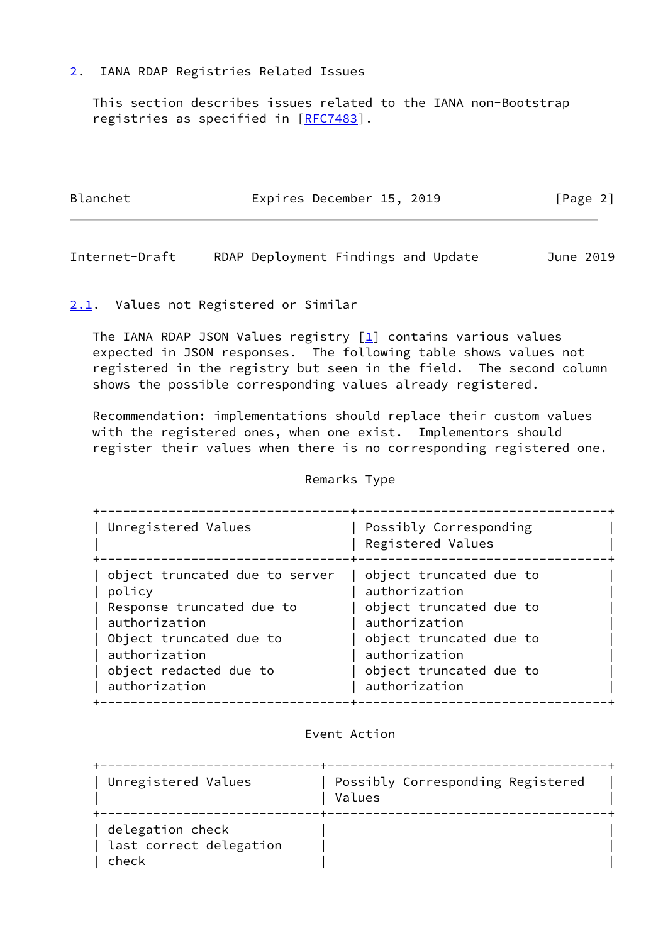## <span id="page-2-0"></span>[2](#page-2-0). IANA RDAP Registries Related Issues

 This section describes issues related to the IANA non-Bootstrap registries as specified in [[RFC7483\]](https://datatracker.ietf.org/doc/pdf/rfc7483).

| Blanchet | Expires December 15, 2019 | [Page 2] |
|----------|---------------------------|----------|
|          |                           |          |

<span id="page-2-2"></span>Internet-Draft RDAP Deployment Findings and Update June 2019

# <span id="page-2-1"></span>[2.1](#page-2-1). Values not Registered or Similar

The IANA RDAP JSON Values registry  $[1]$  $[1]$  contains various values expected in JSON responses. The following table shows values not registered in the registry but seen in the field. The second column shows the possible corresponding values already registered.

 Recommendation: implementations should replace their custom values with the registered ones, when one exist. Implementors should register their values when there is no corresponding registered one.

### Remarks Type

| Unregistered Values            | Possibly Corresponding<br>Registered Values |
|--------------------------------|---------------------------------------------|
| object truncated due to server | object truncated due to                     |
| policy                         | authorization                               |
| Response truncated due to      | object truncated due to                     |
| authorization                  | authorization                               |
| Object truncated due to        | object truncated due to                     |
| authorization                  | authorization                               |
| object redacted due to         | object truncated due to                     |
| authorization                  | authorization                               |

# Event Action

| Unregistered Values                                  | Possibly Corresponding Registered<br>Values |
|------------------------------------------------------|---------------------------------------------|
| delegation check<br>last correct delegation<br>check |                                             |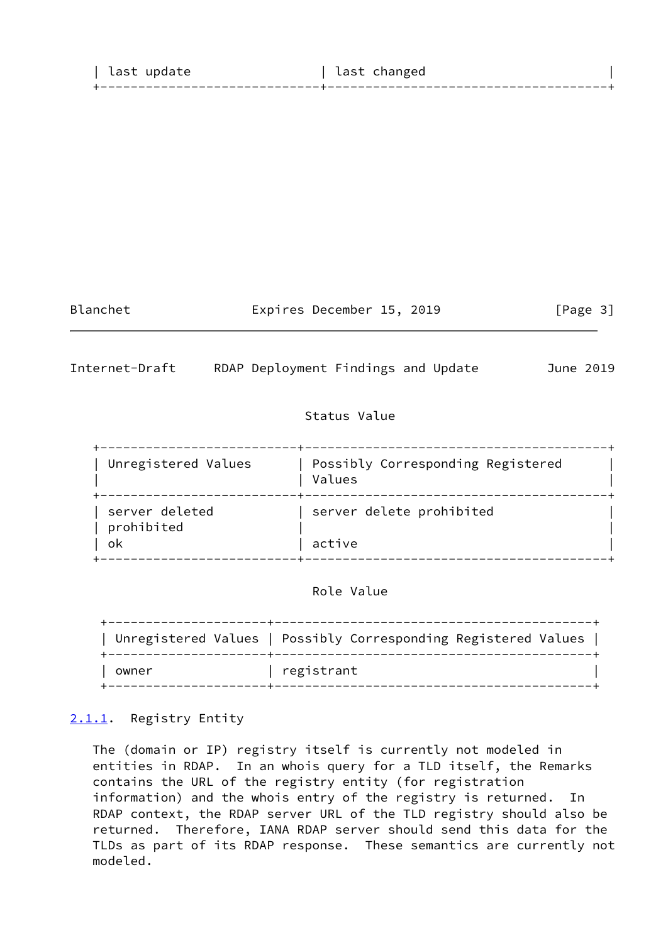| last update | last changed |  |
|-------------|--------------|--|
|             |              |  |
|             |              |  |

Blanchet **Expires December 15, 2019** [Page 3]

<span id="page-3-1"></span>Internet-Draft RDAP Deployment Findings and Update June 2019

# Status Value

 +--------------------------+----------------------------------------+ | Unregistered Values | Possibly Corresponding Registered | Values +--------------------------+----------------------------------------+ | server deleted | server delete prohibited | prohibited | | | ok | active +--------------------------+----------------------------------------+

# Role Value

|       | Unregistered Values   Possibly Corresponding Registered Values |
|-------|----------------------------------------------------------------|
| owner | registrant                                                     |

# <span id="page-3-0"></span>[2.1.1](#page-3-0). Registry Entity

 The (domain or IP) registry itself is currently not modeled in entities in RDAP. In an whois query for a TLD itself, the Remarks contains the URL of the registry entity (for registration information) and the whois entry of the registry is returned. In RDAP context, the RDAP server URL of the TLD registry should also be returned. Therefore, IANA RDAP server should send this data for the TLDs as part of its RDAP response. These semantics are currently not modeled.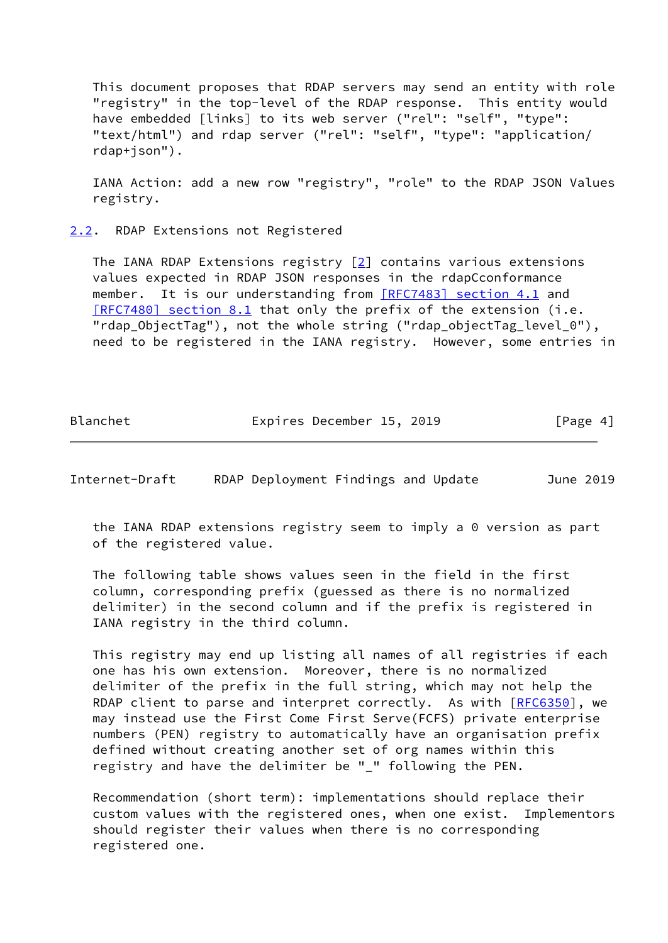This document proposes that RDAP servers may send an entity with role "registry" in the top-level of the RDAP response. This entity would have embedded [links] to its web server ("rel": "self", "type": "text/html") and rdap server ("rel": "self", "type": "application/ rdap+json").

 IANA Action: add a new row "registry", "role" to the RDAP JSON Values registry.

<span id="page-4-0"></span>[2.2](#page-4-0). RDAP Extensions not Registered

 The IANA RDAP Extensions registry [[2\]](#page-13-2) contains various extensions values expected in RDAP JSON responses in the rdapCconformance member. It is our understanding from [\[RFC7483\] section](https://datatracker.ietf.org/doc/pdf/rfc7483#section-4.1) 4.1 and [\[RFC7480\] section](https://datatracker.ietf.org/doc/pdf/rfc7480#section-8.1) 8.1 that only the prefix of the extension (i.e. "rdap\_ObjectTag"), not the whole string ("rdap\_objectTag\_level\_0"), need to be registered in the IANA registry. However, some entries in

Blanchet Expires December 15, 2019 [Page 4]

<span id="page-4-1"></span>Internet-Draft RDAP Deployment Findings and Update June 2019

 the IANA RDAP extensions registry seem to imply a 0 version as part of the registered value.

 The following table shows values seen in the field in the first column, corresponding prefix (guessed as there is no normalized delimiter) in the second column and if the prefix is registered in IANA registry in the third column.

 This registry may end up listing all names of all registries if each one has his own extension. Moreover, there is no normalized delimiter of the prefix in the full string, which may not help the RDAP client to parse and interpret correctly. As with [\[RFC6350](https://datatracker.ietf.org/doc/pdf/rfc6350)], we may instead use the First Come First Serve(FCFS) private enterprise numbers (PEN) registry to automatically have an organisation prefix defined without creating another set of org names within this registry and have the delimiter be "\_" following the PEN.

 Recommendation (short term): implementations should replace their custom values with the registered ones, when one exist. Implementors should register their values when there is no corresponding registered one.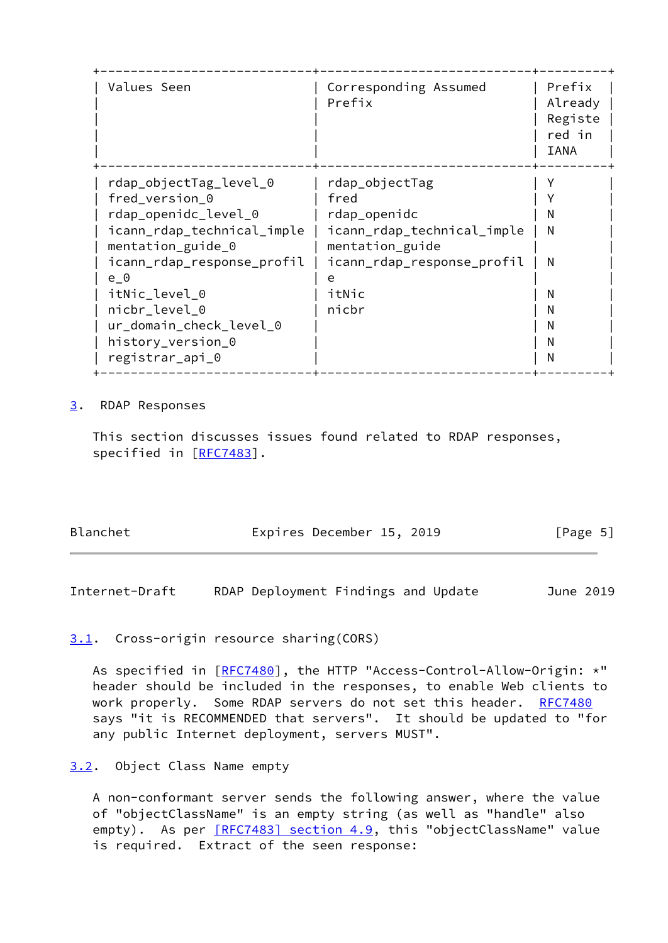| Values Seen                                                                                                                                                                                                                                                   | Corresponding Assumed<br>Prefix                                                                                                         | Prefix<br>Already<br>Registe<br>red in<br>IANA |
|---------------------------------------------------------------------------------------------------------------------------------------------------------------------------------------------------------------------------------------------------------------|-----------------------------------------------------------------------------------------------------------------------------------------|------------------------------------------------|
| rdap_objectTag_level_0<br>fred_version_0<br>rdap_openidc_level_0<br>icann_rdap_technical_imple<br>mentation_guide_0<br>icann_rdap_response_profil<br>e 0<br>itNic_level_0<br>nicbr_level_0<br>ur_domain_check_level_0<br>history_version_0<br>registrar_api_0 | rdap_objectTag<br>fred<br>rdap_openidc<br>icann_rdap_technical_imple<br>mentation_guide<br>icann_rdap_response_profil<br>itNic<br>nicbr | N<br>N<br>N<br>N<br>N<br>N<br>N<br>N           |

#### <span id="page-5-0"></span>[3](#page-5-0). RDAP Responses

 This section discusses issues found related to RDAP responses, specified in [\[RFC7483](https://datatracker.ietf.org/doc/pdf/rfc7483)].

| Blanchet | Expires December 15, 2019 | [Page 5] |
|----------|---------------------------|----------|
|          |                           |          |

<span id="page-5-2"></span>Internet-Draft RDAP Deployment Findings and Update June 2019

### <span id="page-5-1"></span>[3.1](#page-5-1). Cross-origin resource sharing(CORS)

As specified in [\[RFC7480](https://datatracker.ietf.org/doc/pdf/rfc7480)], the HTTP "Access-Control-Allow-Origin: \*" header should be included in the responses, to enable Web clients to work properly. Some RDAP servers do not set this header. [RFC7480](https://datatracker.ietf.org/doc/pdf/rfc7480) says "it is RECOMMENDED that servers". It should be updated to "for any public Internet deployment, servers MUST".

#### <span id="page-5-3"></span>[3.2](#page-5-3). Object Class Name empty

 A non-conformant server sends the following answer, where the value of "objectClassName" is an empty string (as well as "handle" also empty). As per [\[RFC7483\] section](https://datatracker.ietf.org/doc/pdf/rfc7483#section-4.9) 4.9, this "objectClassName" value is required. Extract of the seen response: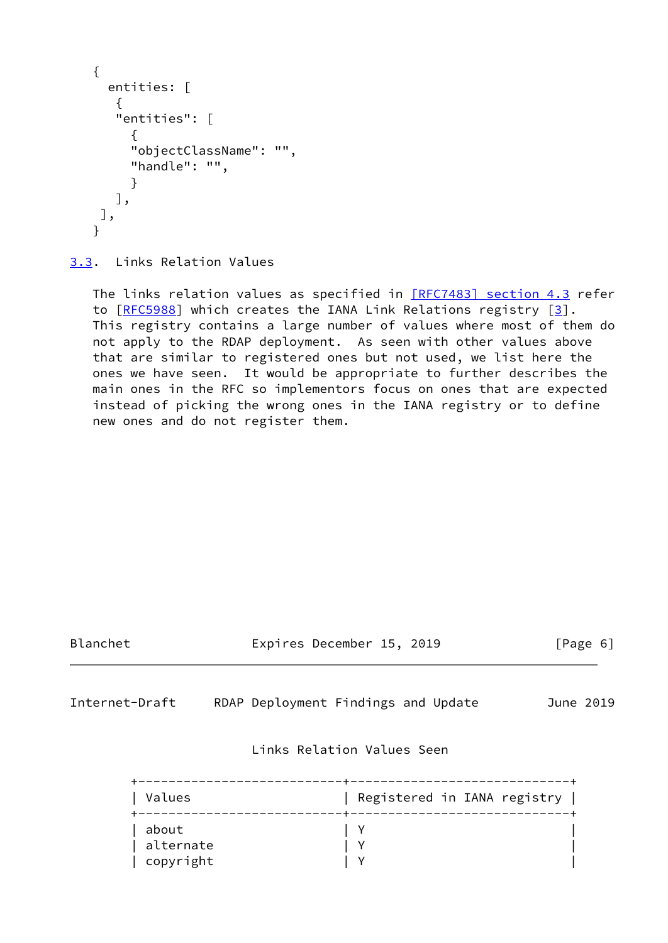```
 {
   entities: [
    {
    "entities": [
       {
       "objectClassName": "",
       "handle": "",
       }
    ],
 ],
 }
```
<span id="page-6-0"></span>[3.3](#page-6-0). Links Relation Values

The links relation values as specified in [\[RFC7483\] section](https://datatracker.ietf.org/doc/pdf/rfc7483#section-4.3) 4.3 refer to [[RFC5988\]](https://datatracker.ietf.org/doc/pdf/rfc5988) which creates the IANA Link Relations registry [\[3](#page-13-3)]. This registry contains a large number of values where most of them do not apply to the RDAP deployment. As seen with other values above that are similar to registered ones but not used, we list here the ones we have seen. It would be appropriate to further describes the main ones in the RFC so implementors focus on ones that are expected instead of picking the wrong ones in the IANA registry or to define new ones and do not register them.

<span id="page-6-1"></span>

| Blanchet                        | Expires December 15, 2019<br>[Page 6] |           |  |  |
|---------------------------------|---------------------------------------|-----------|--|--|
| Internet-Draft                  | RDAP Deployment Findings and Update   | June 2019 |  |  |
|                                 | Links Relation Values Seen            |           |  |  |
| Values                          | Registered in IANA registry           |           |  |  |
| about<br>alternate<br>copyright | Y                                     |           |  |  |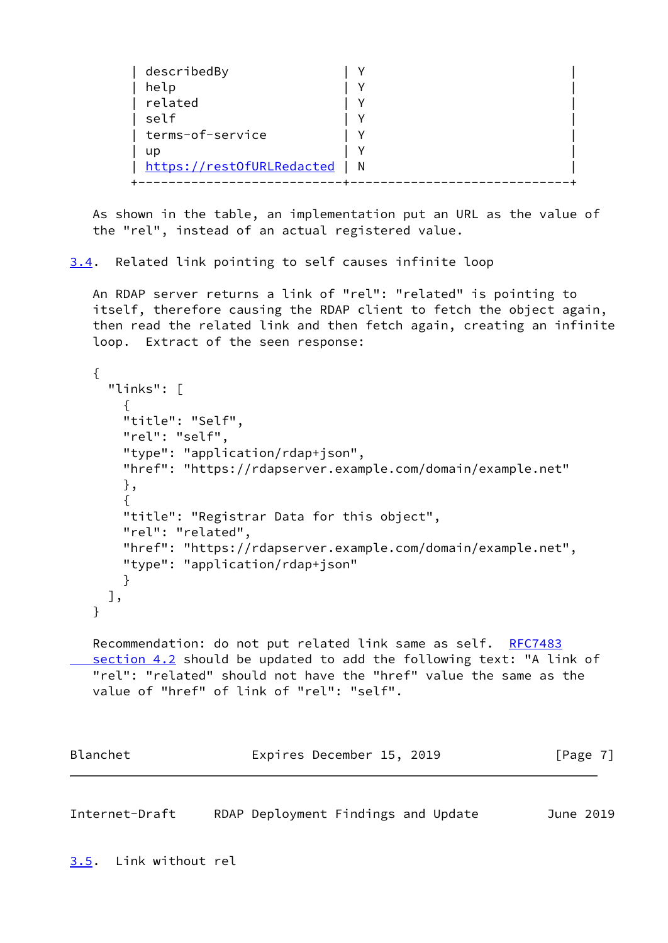| describedBy               |   |
|---------------------------|---|
| help                      |   |
| related                   |   |
| self                      |   |
| terms-of-service          |   |
| <b>up</b>                 |   |
| https://restOfURLRedacted | N |
|                           |   |

 As shown in the table, an implementation put an URL as the value of the "rel", instead of an actual registered value.

<span id="page-7-0"></span>[3.4](#page-7-0). Related link pointing to self causes infinite loop

 An RDAP server returns a link of "rel": "related" is pointing to itself, therefore causing the RDAP client to fetch the object again, then read the related link and then fetch again, creating an infinite loop. Extract of the seen response:

```
 {
  "links": [
    {
    "title": "Self",
    "rel": "self",
    "type": "application/rdap+json",
    "href": "https://rdapserver.example.com/domain/example.net"
    },
    {
    "title": "Registrar Data for this object",
    "rel": "related",
    "href": "https://rdapserver.example.com/domain/example.net",
    "type": "application/rdap+json"
    }
  ],
 }
RFC7483
```
section 4.2 should be updated to add the following text: "A link of "rel": "related" should not have the "href" value the same as the value of "href" of link of "rel": "self".

| Blanchet | Expires December 15, 2019 |  | [Page 7] |  |
|----------|---------------------------|--|----------|--|
|          |                           |  |          |  |

<span id="page-7-2"></span><span id="page-7-1"></span>Internet-Draft RDAP Deployment Findings and Update June 2019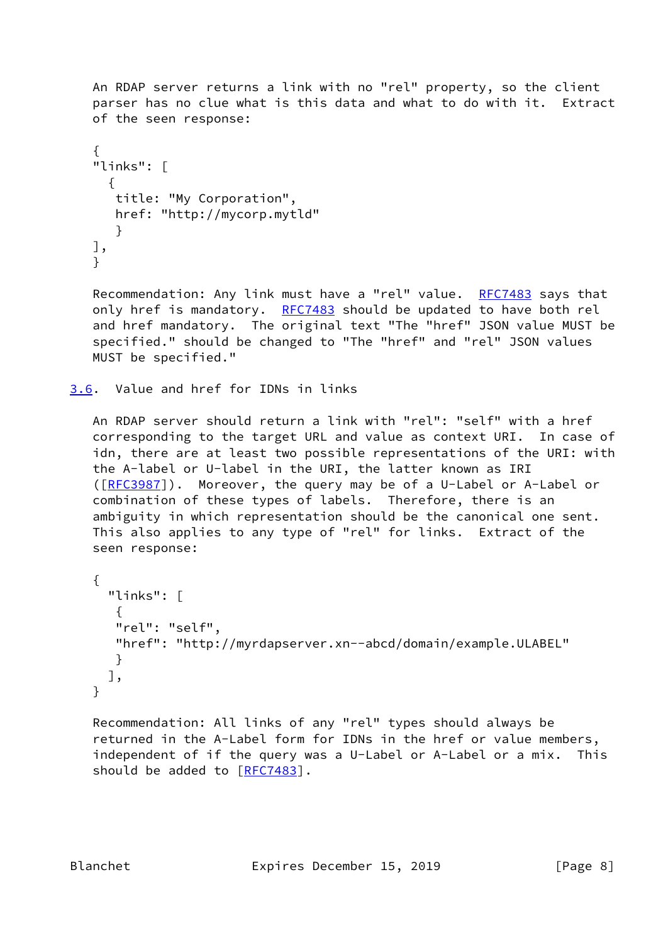An RDAP server returns a link with no "rel" property, so the client parser has no clue what is this data and what to do with it. Extract of the seen response:

```
\{ "links": [
      {
       title: "My Corporation",
       href: "http://mycorp.mytld"
       }
    ],
    }
```
Recommendation: Any link must have a "rel" value. [RFC7483](https://datatracker.ietf.org/doc/pdf/rfc7483) says that only href is mandatory. [RFC7483](https://datatracker.ietf.org/doc/pdf/rfc7483) should be updated to have both rel and href mandatory. The original text "The "href" JSON value MUST be specified." should be changed to "The "href" and "rel" JSON values MUST be specified."

<span id="page-8-0"></span>[3.6](#page-8-0). Value and href for IDNs in links

 An RDAP server should return a link with "rel": "self" with a href corresponding to the target URL and value as context URI. In case of idn, there are at least two possible representations of the URI: with the A-label or U-label in the URI, the latter known as IRI ([\[RFC3987](https://datatracker.ietf.org/doc/pdf/rfc3987)]). Moreover, the query may be of a U-Label or A-Label or combination of these types of labels. Therefore, there is an ambiguity in which representation should be the canonical one sent. This also applies to any type of "rel" for links. Extract of the seen response:

```
 {
   "links": [
    {
    "rel": "self",
    "href": "http://myrdapserver.xn--abcd/domain/example.ULABEL"
    }
  ],
 }
```
 Recommendation: All links of any "rel" types should always be returned in the A-Label form for IDNs in the href or value members, independent of if the query was a U-Label or A-Label or a mix. This should be added to [[RFC7483\]](https://datatracker.ietf.org/doc/pdf/rfc7483).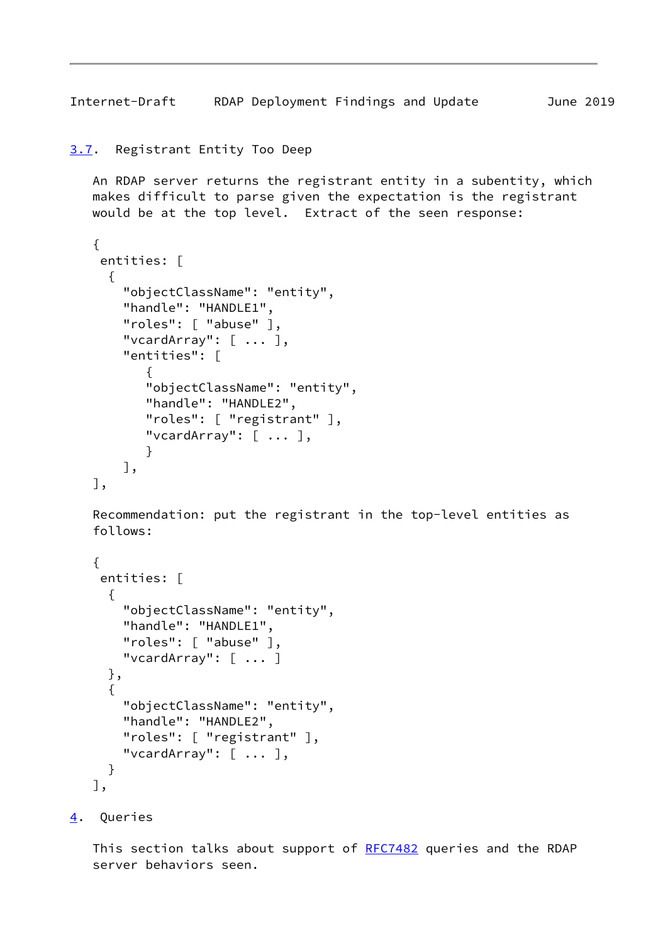<span id="page-9-1"></span>Internet-Draft RDAP Deployment Findings and Update June 2019

```
3.7. Registrant Entity Too Deep
```
 An RDAP server returns the registrant entity in a subentity, which makes difficult to parse given the expectation is the registrant would be at the top level. Extract of the seen response:

```
 {
     entities: [
      {
        "objectClassName": "entity",
        "handle": "HANDLE1",
        "roles": [ "abuse" ],
        "vcardArray": [ ... ],
        "entities": [
\{ "objectClassName": "entity",
           "handle": "HANDLE2",
           "roles": [ "registrant" ],
           "vcardArray": [ ... ],
           }
        ],
    ],
```
 Recommendation: put the registrant in the top-level entities as follows:

```
 {
  entities: [
   {
     "objectClassName": "entity",
     "handle": "HANDLE1",
     "roles": [ "abuse" ],
     "vcardArray": [ ... ]
   },
   {
     "objectClassName": "entity",
     "handle": "HANDLE2",
     "roles": [ "registrant" ],
     "vcardArray": [ ... ],
   }
 ],
```
<span id="page-9-2"></span>[4](#page-9-2). Queries

This section talks about support of [RFC7482](https://datatracker.ietf.org/doc/pdf/rfc7482) queries and the RDAP server behaviors seen.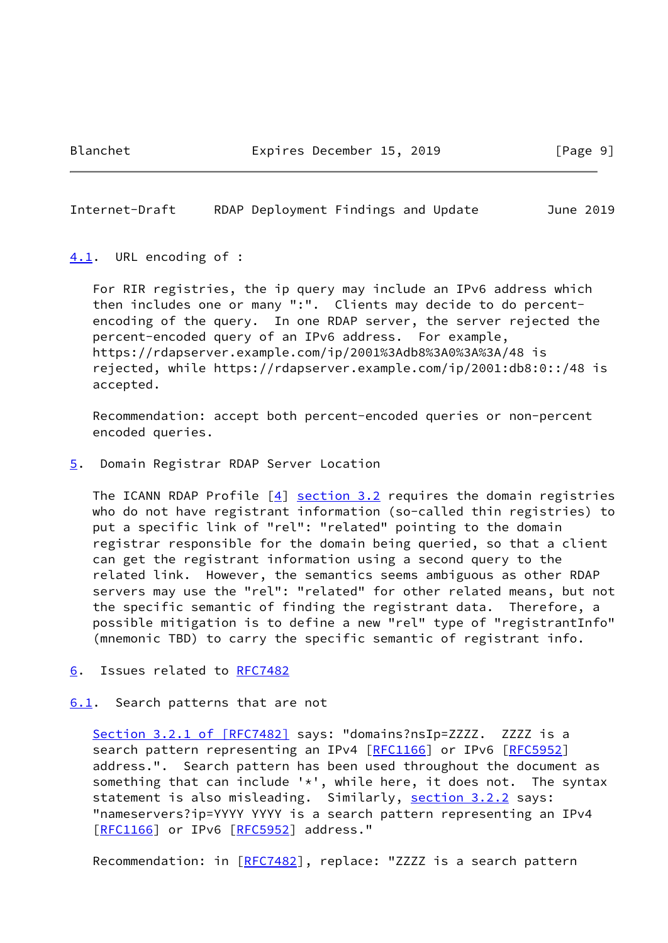#### <span id="page-10-1"></span>Internet-Draft RDAP Deployment Findings and Update June 2019

#### <span id="page-10-0"></span>[4.1](#page-10-0). URL encoding of :

 For RIR registries, the ip query may include an IPv6 address which then includes one or many ":". Clients may decide to do percent encoding of the query. In one RDAP server, the server rejected the percent-encoded query of an IPv6 address. For example, https://rdapserver.example.com/ip/2001%3Adb8%3A0%3A%3A/48 is rejected, while https://rdapserver.example.com/ip/2001:db8:0::/48 is accepted.

 Recommendation: accept both percent-encoded queries or non-percent encoded queries.

<span id="page-10-2"></span>[5](#page-10-2). Domain Registrar RDAP Server Location

The ICANN RDAP Profile  $[4]$  $[4]$  [section 3.2](#page-5-3) requires the domain registries who do not have registrant information (so-called thin registries) to put a specific link of "rel": "related" pointing to the domain registrar responsible for the domain being queried, so that a client can get the registrant information using a second query to the related link. However, the semantics seems ambiguous as other RDAP servers may use the "rel": "related" for other related means, but not the specific semantic of finding the registrant data. Therefore, a possible mitigation is to define a new "rel" type of "registrantInfo" (mnemonic TBD) to carry the specific semantic of registrant info.

- <span id="page-10-3"></span>[6](#page-10-3). Issues related to [RFC7482](https://datatracker.ietf.org/doc/pdf/rfc7482)
- <span id="page-10-4"></span>[6.1](#page-10-4). Search patterns that are not

Section [3.2.1 of \[RFC7482\]](https://datatracker.ietf.org/doc/pdf/rfc7482#section-3.2.1) says: "domains?nsIp=ZZZZ. ZZZZ is a search pattern representing an IPv4 [\[RFC1166](https://datatracker.ietf.org/doc/pdf/rfc1166)] or IPv6 [[RFC5952](https://datatracker.ietf.org/doc/pdf/rfc5952)] address.". Search pattern has been used throughout the document as something that can include  $'$ , while here, it does not. The syntax statement is also misleading. Similarly, section 3.2.2 says: "nameservers?ip=YYYY YYYY is a search pattern representing an IPv4 [\[RFC1166](https://datatracker.ietf.org/doc/pdf/rfc1166)] or IPv6 [[RFC5952](https://datatracker.ietf.org/doc/pdf/rfc5952)] address."

Recommendation: in [[RFC7482\]](https://datatracker.ietf.org/doc/pdf/rfc7482), replace: "ZZZZ is a search pattern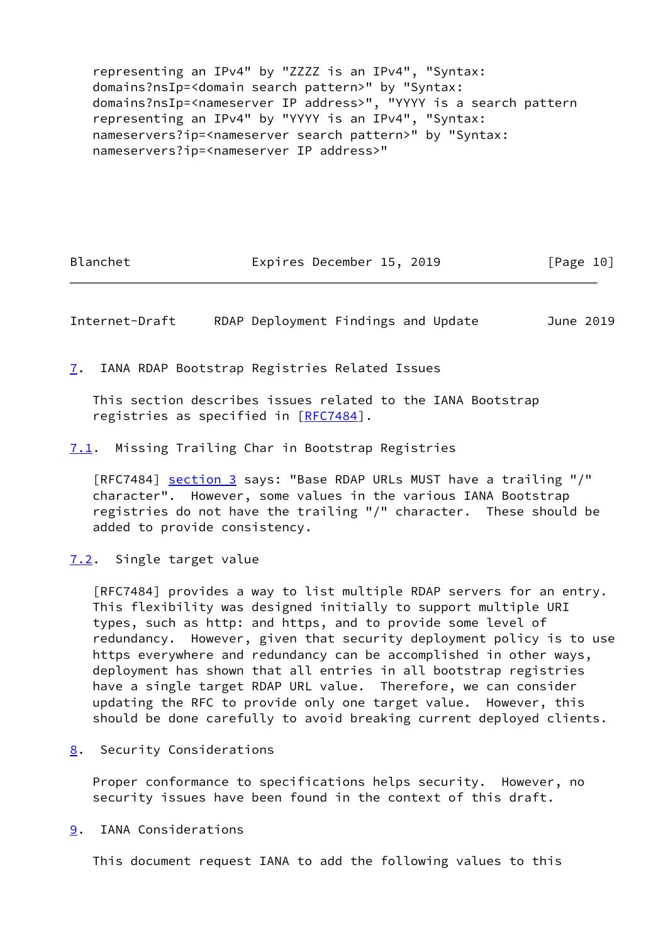representing an IPv4" by "ZZZZ is an IPv4", "Syntax: domains?nsIp=<domain search pattern>" by "Syntax: domains?nsIp=<nameserver IP address>", "YYYY is a search pattern representing an IPv4" by "YYYY is an IPv4", "Syntax: nameservers?ip=<nameserver search pattern>" by "Syntax: nameservers?ip=<nameserver IP address>"

Blanchet **Expires December 15, 2019** [Page 10]

<span id="page-11-1"></span>Internet-Draft RDAP Deployment Findings and Update June 2019

<span id="page-11-0"></span>[7](#page-11-0). IANA RDAP Bootstrap Registries Related Issues

 This section describes issues related to the IANA Bootstrap registries as specified in [[RFC7484\]](https://datatracker.ietf.org/doc/pdf/rfc7484).

<span id="page-11-2"></span>[7.1](#page-11-2). Missing Trailing Char in Bootstrap Registries

[RFC7484] [section 3](#page-5-0) says: "Base RDAP URLs MUST have a trailing "/" character". However, some values in the various IANA Bootstrap registries do not have the trailing "/" character. These should be added to provide consistency.

<span id="page-11-3"></span>[7.2](#page-11-3). Single target value

 [RFC7484] provides a way to list multiple RDAP servers for an entry. This flexibility was designed initially to support multiple URI types, such as http: and https, and to provide some level of redundancy. However, given that security deployment policy is to use https everywhere and redundancy can be accomplished in other ways, deployment has shown that all entries in all bootstrap registries have a single target RDAP URL value. Therefore, we can consider updating the RFC to provide only one target value. However, this should be done carefully to avoid breaking current deployed clients.

<span id="page-11-4"></span>[8](#page-11-4). Security Considerations

 Proper conformance to specifications helps security. However, no security issues have been found in the context of this draft.

<span id="page-11-5"></span>[9](#page-11-5). IANA Considerations

This document request IANA to add the following values to this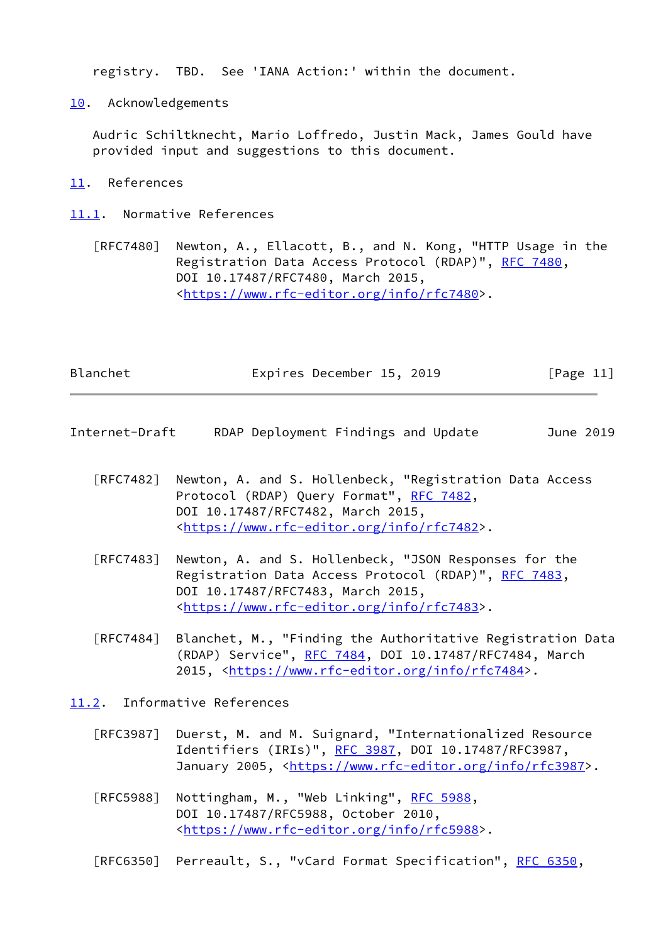registry. TBD. See 'IANA Action:' within the document.

<span id="page-12-0"></span>[10.](#page-12-0) Acknowledgements

 Audric Schiltknecht, Mario Loffredo, Justin Mack, James Gould have provided input and suggestions to this document.

<span id="page-12-1"></span>[11.](#page-12-1) References

<span id="page-12-2"></span>[11.1](#page-12-2). Normative References

 [RFC7480] Newton, A., Ellacott, B., and N. Kong, "HTTP Usage in the Registration Data Access Protocol (RDAP)", [RFC 7480](https://datatracker.ietf.org/doc/pdf/rfc7480), DOI 10.17487/RFC7480, March 2015, <[https://www.rfc-editor.org/info/rfc7480>](https://www.rfc-editor.org/info/rfc7480).

| Blanchet |  | Expires December 15, 2019 |  |  | [Page 11] |  |
|----------|--|---------------------------|--|--|-----------|--|
|----------|--|---------------------------|--|--|-----------|--|

<span id="page-12-4"></span>Internet-Draft RDAP Deployment Findings and Update June 2019

- [RFC7482] Newton, A. and S. Hollenbeck, "Registration Data Access Protocol (RDAP) Query Format", [RFC 7482](https://datatracker.ietf.org/doc/pdf/rfc7482), DOI 10.17487/RFC7482, March 2015, <[https://www.rfc-editor.org/info/rfc7482>](https://www.rfc-editor.org/info/rfc7482).
- [RFC7483] Newton, A. and S. Hollenbeck, "JSON Responses for the Registration Data Access Protocol (RDAP)", [RFC 7483](https://datatracker.ietf.org/doc/pdf/rfc7483), DOI 10.17487/RFC7483, March 2015, <[https://www.rfc-editor.org/info/rfc7483>](https://www.rfc-editor.org/info/rfc7483).
- [RFC7484] Blanchet, M., "Finding the Authoritative Registration Data (RDAP) Service", [RFC 7484,](https://datatracker.ietf.org/doc/pdf/rfc7484) DOI 10.17487/RFC7484, March 2015, [<https://www.rfc-editor.org/info/rfc7484](https://www.rfc-editor.org/info/rfc7484)>.

<span id="page-12-3"></span>[11.2](#page-12-3). Informative References

- [RFC3987] Duerst, M. and M. Suignard, "Internationalized Resource Identifiers (IRIs)", [RFC 3987](https://datatracker.ietf.org/doc/pdf/rfc3987), DOI 10.17487/RFC3987, January 2005, [<https://www.rfc-editor.org/info/rfc3987](https://www.rfc-editor.org/info/rfc3987)>.
- [RFC5988] Nottingham, M., "Web Linking", [RFC 5988](https://datatracker.ietf.org/doc/pdf/rfc5988), DOI 10.17487/RFC5988, October 2010, <[https://www.rfc-editor.org/info/rfc5988>](https://www.rfc-editor.org/info/rfc5988).

[RFC6350] Perreault, S., "vCard Format Specification", [RFC 6350](https://datatracker.ietf.org/doc/pdf/rfc6350),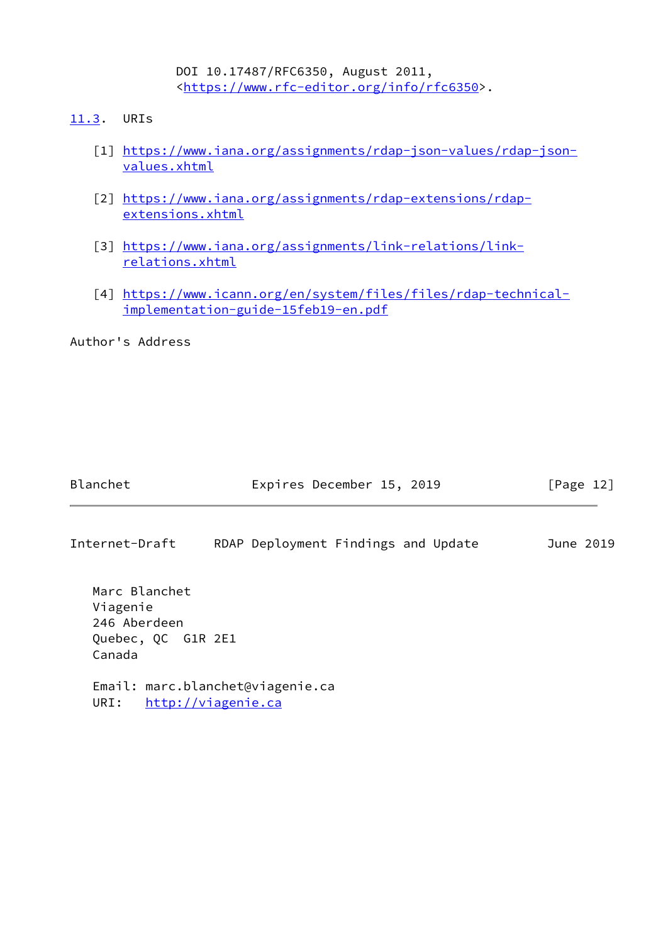DOI 10.17487/RFC6350, August 2011, <[https://www.rfc-editor.org/info/rfc6350>](https://www.rfc-editor.org/info/rfc6350).

- <span id="page-13-2"></span><span id="page-13-1"></span><span id="page-13-0"></span>[11.3](#page-13-0). URIs
	- [1] [https://www.iana.org/assignments/rdap-json-values/rdap-json](https://www.iana.org/assignments/rdap-json-values/rdap-json-values.xhtml) [values.xhtml](https://www.iana.org/assignments/rdap-json-values/rdap-json-values.xhtml)
	- [2] [https://www.iana.org/assignments/rdap-extensions/rdap](https://www.iana.org/assignments/rdap-extensions/rdap-extensions.xhtml) [extensions.xhtml](https://www.iana.org/assignments/rdap-extensions/rdap-extensions.xhtml)
	- [3] [https://www.iana.org/assignments/link-relations/link](https://www.iana.org/assignments/link-relations/link-relations.xhtml) [relations.xhtml](https://www.iana.org/assignments/link-relations/link-relations.xhtml)
	- [4] [https://www.icann.org/en/system/files/files/rdap-technical](https://www.icann.org/en/system/files/files/rdap-technical-implementation-guide-15feb19-en.pdf) [implementation-guide-15feb19-en.pdf](https://www.icann.org/en/system/files/files/rdap-technical-implementation-guide-15feb19-en.pdf)

<span id="page-13-4"></span><span id="page-13-3"></span>Author's Address

| Blanchet                                                                  | Expires December 15, 2019           | [Page 12] |
|---------------------------------------------------------------------------|-------------------------------------|-----------|
| Internet-Draft                                                            | RDAP Deployment Findings and Update | June 2019 |
| Marc Blanchet<br>Viagenie<br>246 Aberdeen<br>Quebec, QC G1R 2E1<br>Canada |                                     |           |
| Email: marc.blanchet@viagenie.ca<br>http://viagenie.ca<br>URI:            |                                     |           |